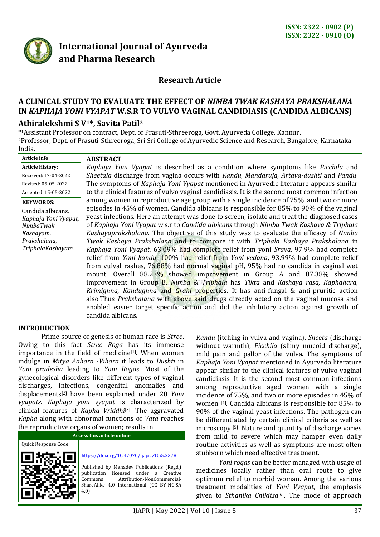

# **International Journal of Ayurveda and Pharma Research**

# **Research Article**

# **A CLINICAL STUDY TO EVALUATE THE EFFECT OF** *NIMBA TWAK KASHAYA PRAKSHALANA* **IN** *KAPHAJA YONI VYAPAT* **W.S.R TO VULVO VAGINAL CANDIDIASIS (CANDIDA ALBICANS)**

## **Athiralekshmi S V1\*, Savita Patil<sup>2</sup>**

\* <sup>1</sup>Assistant Professor on contract, Dept. of Prasuti-Sthreeroga, Govt. Ayurveda College, Kannur. <sup>2</sup>Professor, Dept. of Prasuti-Sthreeroga, Sri Sri College of Ayurvedic Science and Research, Bangalore, Karnataka India.

| Article info            | <b>ABSTRACT</b>                                                                               |
|-------------------------|-----------------------------------------------------------------------------------------------|
| <b>Article History:</b> | Kaphaja Yoni Vyapat is described as a condition where symptoms like Picchila and              |
| Received: 17-04-2022    | Sheetala discharge from vagina occurs with Kandu, Mandaruja, Artava-dushti and Pandu.         |
| Revised: 05-05-2022     | The symptoms of Kaphaja Yoni Vyapat mentioned in Ayurvedic literature appears similar         |
| Accepted: 15-05-2022    | to the clinical features of vulvo vaginal candidiasis. It is the second most common infection |
| <b>KEYWORDS:</b>        | among women in reproductive age group with a single incidence of 75%, and two or more         |
| Candida albicans,       | episodes in 45% of women. Candida albicans is responsible for 85% to 90% of the vaginal       |
| Kaphaja Yoni Vyapat,    | yeast infections. Here an attempt was done to screen, isolate and treat the diagnosed cases   |
| NimbaTwak               | of Kaphaja Yoni Vyapat w.s.r to Candida albicans through Nimba Twak Kashaya & Triphala        |
| Kashayam,               | Kashayaprakshalana. The objective of this study was to evaluate the efficacy of Nimba         |
| Prakshalana,            | Twak Kashaya Prakshalana and to compare it with Triphala Kashaya Prakshalana in               |
| TriphalaKashayam.       | Kaphaja Yoni Vyapat. 63.09% had complete relief from yoni Srava, 97.9% had complete           |
|                         | relief from Yoni kandu, 100% had relief from Yoni vedana, 93.99% had complete relief          |
|                         | from vulval rashes, 76.88% had normal vaginal pH, 95% had no candida in vaginal wet           |
|                         | mount. Overall 88.23% showed improvement in Group A and 87.38% showed                         |
|                         | improvement in Group B. Nimba & Triphala has Tikta and Kashaya rasa, Kaphahara,               |
|                         | Krimighna, Kandughna and Grahi properties. It has anti-fungal & anti-pruritic action          |
|                         | also. Thus Prakshalana with above said drugs directly acted on the vaginal mucosa and         |
|                         | enabled easier target specific action and did the inhibitory action against growth of         |
|                         | candida albicans.                                                                             |

#### **INTRODUCTION**

Prime source of genesis of human race is *Stree*. Owing to this fact *Stree Roga* has its immense importance in the field of medicine<sup>[1]</sup>. When women indulge in *Mitya Aahara* -*Vihara* it leads to *Dushti* in *Yoni pradesha* leading to *Yoni Rogas*. Most of the gynecological disorders like different types of vaginal discharges, infections, congenital anomalies and displacements[2] have been explained under 20 *Yoni vyapats*. *Kaphaja yoni vyapat* is characterized by clinical features of *Kapha Vriddhi*[3]. The aggravated *Kapha* along with abnormal functions of *Vata* reaches the reproductive organs of women; results in

| <b>Access this article online</b> |                                                                                                                                                                                    |  |  |  |  |
|-----------------------------------|------------------------------------------------------------------------------------------------------------------------------------------------------------------------------------|--|--|--|--|
| Quick Response Code               |                                                                                                                                                                                    |  |  |  |  |
|                                   | https://doi.org/10.47070/ijapr.v10i5.2378                                                                                                                                          |  |  |  |  |
|                                   | Published by Mahadev Publications (Regd.)<br>licensed under a Creative<br>publication<br>Attribution-NonCommercial-<br>Commons<br>ShareAlike 4.0 International (CC BY-NC-SA<br>4.0 |  |  |  |  |

*Kandu* (itching in vulva and vagina), *Sheeta* (discharge without warmth), *Picchila* (slimy mucoid discharge), mild pain and pallor of the vulva. The symptoms of *Kaphaja Yoni Vyapat* mentioned in Ayurveda literature appear similar to the clinical features of vulvo vaginal candidiasis. It is the second most common infections among reproductive aged women with a single incidence of 75%, and two or more episodes in 45% of women [4]. Candida albicans is responsible for 85% to 90% of the vaginal yeast infections. The pathogen can be differentiated by certain clinical criteria as well as microscopy [5]. Nature and quantity of discharge varies from mild to severe which may hamper even daily routine activities as well as symptoms are most often stubborn which need effective treatment.

*Yoni rogas* can be better managed with usage of medicines locally rather than oral route to give optimum relief to morbid woman. Among the various treatment modalities of *Yoni Vyapat*, the emphasis given to *Sthanika Chikitsa*<sup>[6]</sup>. The mode of approach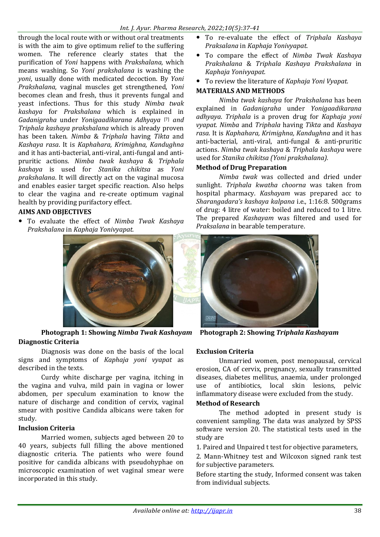through the local route with or without oral treatments is with the aim to give optimum relief to the suffering women. The reference clearly states that the purification of *Yoni* happens with *Prakshalana*, which means washing. So *Yoni prakshalana* is washing the *yoni*, usually done with medicated decoction. By *Yoni Prakshalana*, vaginal muscles get strengthened, *Yoni* becomes clean and fresh, thus it prevents fungal and yeast infections. Thus for this study *Nimba twak kashaya* for *Prakshalana* which is explained in *Gadanigraha* under *Yonigaadikarana Adhyaya* [7] *and Triphala kashaya prakshalana* which is already proven has been taken. *Nimba* & *Triphala* having *Tikta* and *Kashaya rasa*. It is *Kaphahara, Krimighna, Kandughna* and it has anti-bacterial, anti-viral, anti-fungal and antipruritic actions. *Nimba twak kashaya* & *Triphala kashaya* is used for *Stanika chikitsa* as *Yoni prakshalana*. It will directly act on the vaginal mucosa and enables easier target specific reaction. Also helps to clear the vagina and re-create optimum vaginal health by providing purifactory effect.

# **AIMS AND OBJECTIVES**

 To evaluate the effect of *Nimba Twak Kashaya Prakshalana* in *Kaphaja Yonivyapat.*



**Photograph 1: Showing** *Nimba Twak Kashayam* **Photograph 2: Showing** *Triphala Kashayam* **Diagnostic Criteria**

Diagnosis was done on the basis of the local signs and symptoms of *Kaphaja yoni vyapat* as described in the texts.

Curdy white discharge per vagina, itching in the vagina and vulva, mild pain in vagina or lower abdomen, per speculum examination to know the nature of discharge and condition of cervix, vaginal smear with positive Candida albicans were taken for study.

## **Inclusion Criteria**

Married women, subjects aged between 20 to 40 years, subjects full filling the above mentioned diagnostic criteria. The patients who were found positive for candida albicans with pseudohyphae on microscopic examination of wet vaginal smear were incorporated in this study.

- To re-evaluate the effect of *Triphala Kashaya Praksalana* in *Kaphaja Yonivyapat*.
- To compare the effect of *Nimba Twak Kashaya Prakshalana* & *Triphala Kashaya Prakshalana* in *Kaphaja Yonivyapat.*
- To review the literature of *Kaphaja Yoni Vyapat.*

# **MATERIALS AND METHODS**

*Nimba twak kashaya* for *Prakshalana* has been explained in *Gadanigraha* under *Yonigaadikarana adhyaya*. *Triphala* is a proven drug for *Kaphaja yoni vyapat. Nimba* and *Triphala* having *Tikta* and *Kashaya rasa*. It is *Kaphahara, Krimighna, Kandughna* and it has anti-bacterial, anti-viral, anti-fungal & anti-pruritic actions. *Nimba twak kashaya* & *Triphala kashaya* were used for *Stanika chikitsa (Yoni prakshalana).* 

## **Method of Drug Preparation**

*Nimba twak* was collected and dried under sunlight. *Triphala kwatha choorna* was taken from hospital pharmacy. *Kashayam* was prepared acc to *Sharangadara's kashaya kalpana* i.e., 1:16:8. 500grams of drug: 4 litre of water: boiled and reduced to 1 litre. The prepared *Kashayam* was filtered and used for *Praksalana* in bearable temperature.



## **Exclusion Criteria**

Unmarried women, post menopausal, cervical erosion, CA of cervix, pregnancy, sexually transmitted diseases, diabetes mellitus, anaemia, under prolonged use of antibiotics, local skin lesions, pelvic inflammatory disease were excluded from the study.

#### **Method of Research**

The method adopted in present study is convenient sampling. The data was analyzed by SPSS software version 20. The statistical tests used in the study are

1. Paired and Unpaired t test for objective parameters,

2. Mann-Whitney test and Wilcoxon signed rank test for subjective parameters.

Before starting the study, Informed consent was taken from individual subjects.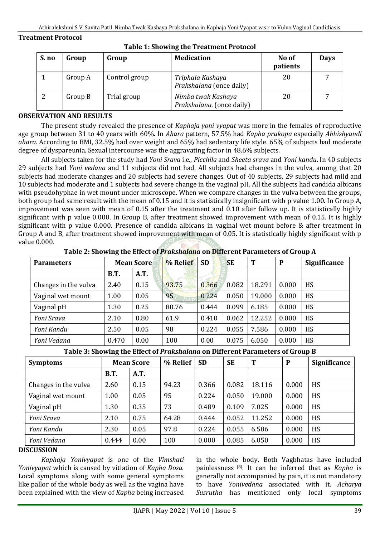#### **Treatment Protocol**

| S. no | Group   | Group         | <b>Medication</b>                               | No of<br>patients | <b>Days</b> |
|-------|---------|---------------|-------------------------------------------------|-------------------|-------------|
|       | Group A | Control group | Triphala Kashaya<br>Prakshalana (once daily)    | 20                |             |
|       | Group B | Trial group   | Nimba twak Kashaya<br>Prakshalana. (once daily) | 20                |             |

#### **Table 1: Showing the Treatment Protocol**

#### **OBSERVATION AND RESULTS**

The present study revealed the presence of *Kaphaja yoni vyapat* was more in the females of reproductive age group between 31 to 40 years with 60%. In *Ahara* pattern, 57.5% had *Kapha prakopa* especially *Abhishyandi ahara*. According to BMI, 32.5% had over weight and 65% had sedentary life style. 65% of subjects had moderate degree of dyspareunia. Sexual intercourse was the aggravating factor in 48.6% subjects.

All subjects taken for the study had *Yoni Srava* i.e., *Picchila* and *Sheeta srava* and *Yoni kandu*. In 40 subjects 29 subjects had *Yoni vedana* and 11 subjects did not had. All subjects had changes in the vulva, among that 20 subjects had moderate changes and 20 subjects had severe changes. Out of 40 subjects, 29 subjects had mild and 10 subjects had moderate and 1 subjects had severe change in the vaginal pH. All the subjects had candida albicans with pseudohyphae in wet mount under microscope. When we compare changes in the vulva between the groups, both group had same result with the mean of 0.15 and it is statistically insignificant with p value 1.00. In Group A, improvement was seen with mean of 0.15 after the treatment and 0.10 after follow up. It is statistically highly significant with p value 0.000. In Group B, after treatment showed improvement with mean of 0.15. It is highly significant with p value 0.000. Presence of candida albicans in vaginal wet mount before & after treatment in Group A and B, after treatment showed improvement with mean of 0.05. It is statistically highly significant with p value 0.000.

| <b>Parameters</b>    | <b>Mean Score</b> |      | % Relief | <b>SD</b> | <b>SE</b> | T      | P     | <b>Significance</b> |
|----------------------|-------------------|------|----------|-----------|-----------|--------|-------|---------------------|
|                      | <b>B.T.</b>       | A.T. |          |           |           |        |       |                     |
| Changes in the vulva | 2.40              | 0.15 | 93.75    | 0.366     | 0.082     | 18.291 | 0.000 | <b>HS</b>           |
| Vaginal wet mount    | 1.00              | 0.05 | 95       | 0.224     | 0.050     | 19.000 | 0.000 | HS                  |
| Vaginal pH           | 1.30              | 0.25 | 80.76    | 0.444     | 0.099     | 6.185  | 0.000 | <b>HS</b>           |
| Yoni Srava           | 2.10              | 0.80 | 61.9     | 0.410     | 0.062     | 12.252 | 0.000 | HS                  |
| Yoni Kandu           | 2.50              | 0.05 | 98       | 0.224     | 0.055     | 7.586  | 0.000 | HS                  |
| Yoni Vedana          | 0.470             | 0.00 | 100      | 0.00      | 0.075     | 6.050  | 0.000 | <b>HS</b>           |
|                      |                   |      |          |           |           |        |       |                     |

**Table 2: Showing the Effect of** *Prakshalana* **on Different Parameters of Group A**

**Table 3: Showing the Effect of** *Prakshalana* **on Different Parameters of Group B**

| <b>Symptoms</b>      | <b>Mean Score</b> |      | % Relief | <b>SD</b> | <b>SE</b> | T      | P     | <b>Significance</b> |
|----------------------|-------------------|------|----------|-----------|-----------|--------|-------|---------------------|
|                      | <b>B.T.</b>       | A.T. |          |           |           |        |       |                     |
| Changes in the vulva | 2.60              | 0.15 | 94.23    | 0.366     | 0.082     | 18.116 | 0.000 | HS                  |
| Vaginal wet mount    | 1.00              | 0.05 | 95       | 0.224     | 0.050     | 19.000 | 0.000 | HS                  |
| Vaginal pH           | 1.30              | 0.35 | 73       | 0.489     | 0.109     | 7.025  | 0.000 | HS                  |
| Yoni Srava           | 2.10              | 0.75 | 64.28    | 0.444     | 0.052     | 11.252 | 0.000 | HS                  |
| Yoni Kandu           | 2.30              | 0.05 | 97.8     | 0.224     | 0.055     | 6.586  | 0.000 | HS                  |
| Yoni Vedana          | 0.444             | 0.00 | 100      | 0.000     | 0.085     | 6.050  | 0.000 | HS                  |
|                      |                   |      |          |           |           |        |       |                     |

#### **DISCUSSION**

*Kaphaja Yonivyapat* is one of the *Vimshati Yonivyapat* which is caused by vitiation of *Kapha Dosa*. Local symptoms along with some general symptoms like pallor of the whole body as well as the vagina have been explained with the view of *Kapha* being increased in the whole body. Both Vagbhatas have included painlessness [8] . It can be inferred that as *Kapha* is generally not accompanied by pain, it is not mandatory to have *Yonivedana* associated with it. *Acharya Susrutha* has mentioned only local symptoms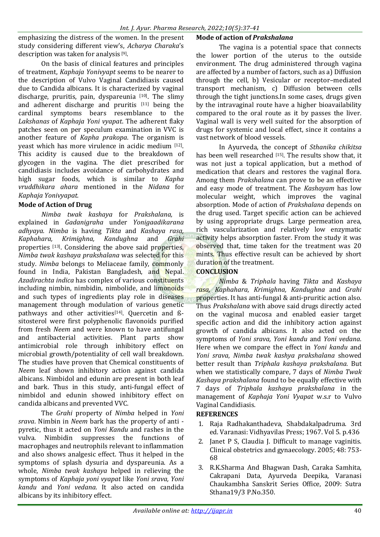emphasizing the distress of the women. In the present study considering different view's, *Acharya Charaka*'s description was taken for analysis<sup>[9]</sup>.

On the basis of clinical features and principles of treatment, *Kaphaja Yonivyapt* seems to be nearer to the description of Vulvo Vaginal Candidiasis caused due to Candida albicans. It is characterized by vaginal discharge, pruritis, pain, dyspareunia [10]. The slimy and adherent discharge and pruritis [11] being the cardinal symptoms bears resemblance to the *Lakshanas* of *Kaphaja Yoni vyapat*. The adherent flaky patches seen on per speculum examination in VVC is another feature of *Kapha prakopa*. The organism is yeast which has more virulence in acidic medium [12]. This acidity is caused due to the breakdown of glycogen in the vagina. The diet prescribed for candidiasis includes avoidance of carbohydrates and high sugar foods, which is similar to *Kapha vruddhikara ahara* mentioned in the *Nidana* for *Kaphaja Yonivyapat.*

## **Mode of Action of Drug**

*Nimba twak kashaya* for *Prakshalana,* is explained in *Gadanigraha* under *Yonigaadikarana adhyaya. Nimba* is having *Tikta* and *Kashaya rasa, Kaphahara, Krimighna, Kandughna* and *Grahi* properties [13]. Considering the above said properties, *Nimba twak kashaya prakshalana* was selected for this study. *Nimba* belongs to Meliaceae family, commonly found in India, Pakistan Bangladesh, and Nepal. *Azadirachta indica* has complex of various constituents including nimbin, nimbidin, nimbolide, and limonoids and such types of ingredients play role in diseases management through modulation of various genetic pathways and other activities<sup>[14]</sup>. Ouercetin and ßsitosterol were first polyphenolic flavonoids purified from fresh *Neem* and were known to have antifungal and antibacterial activities. Plant parts show antimicrobial role through inhibitory effect on microbial growth/potentiality of cell wall breakdown. The studies have proven that Chemical constituents of *Neem* leaf shown inhibitory action against candida albicans. Nimbidol and edunin are present in both leaf and bark. Thus in this study, anti-fungal effect of nimbidol and edunin showed inhibitory effect on candida albicans and prevented VVC.

The *Grahi* property of *Nimba* helped in *Yoni srava*. Nimbin in *Neem* bark has the property of anti pyretic, thus it acted on *Yoni Kandu* and rashes in the vulva. Nimbidin suppresses the functions of macrophages and neutrophils relevant to inflammation and also shows analgesic effect. Thus it helped in the symptoms of splash dysuria and dyspareunia. As a whole, *Nimba twak kashaya* helped in relieving the symptoms of *Kaphaja yoni vyapat* like *Yoni srava, Yoni kandu* and *Yoni vedana*. It also acted on candida albicans by its inhibitory effect.

## **Mode of action of** *Prakshalana*

The vagina is a potential space that connects the lower portion of the uterus to the outside environment. The drug administered through vagina are affected by a number of factors, such as a) Diffusion through the cell, b) Vesicular or receptor–mediated transport mechanism, c) Diffusion between cells through the tight junctions.In some cases, drugs given by the intravaginal route have a higher bioavailability compared to the oral route as it by passes the liver. Vaginal wall is very well suited for the absorption of drugs for systemic and local effect, since it contains a vast network of blood vessels.

In Ayurveda, the concept of *Sthanika chikitsa* has been well researched [15]. The results show that, it was not just a topical application, but a method of medication that clears and restores the vaginal flora. Among them *Prakshalana* can prove to be an effective and easy mode of treatment. The *Kashayam* has low molecular weight, which improves the vaginal absorption. Mode of action of *Prakshalana* depends on the drug used. Target specific action can be achieved by using appropriate drugs. Large permeation area, rich vascularization and relatively low enzymatic activity helps absorption faster. From the study it was observed that, time taken for the treatment was 20 mints. Thus effective result can be achieved by short duration of the treatment.

## **CONCLUSION**

*Nimba* & *Triphala* having *Tikta* and *Kashaya rasa, Kaphahara, Krimighna, Kandughna* and *Grahi* properties. It has anti-fungal & anti-pruritic action also. Thus *Prakshalana* with above said drugs directly acted on the vaginal mucosa and enabled easier target specific action and did the inhibitory action against growth of candida albicans. It also acted on the symptoms of *Yoni srava, Yoni kandu* and *Yoni vedana*. Here when we compare the effect in *Yoni kandu* and *Yoni srava*, *Nimba twak kashya prakshalana* showed better result than *Triphala kashaya prakshalana.* But when we statistically compare, 7 days of *Nimba Twak Kashaya prakshalana* found to be equally effective with 7 days of *Triphala kashaya prakshalana* in the management of *Kaphaja Yoni Vyapat* w.s.r to Vulvo Vaginal Candidiasis.

## **REFERENCES**

- 1. Raja Radhakanthadeva, Shabdakalpadruma. 3rd ed. Varanasi: Vidhyavilas Press; 1967. Vol 5. p.436
- 2. Janet P S, Claudia J. Difficult to manage vaginitis. Clinical obstetrics and gynaecology. 2005; 48: 753- 68
- 3. R.K.Sharma And Bhagwan Dash, Caraka Samhita, Cakrapani Data, Ayurveda Deepika, Varanasi Chaukambha Sanskrit Series Office, 2009: Sutra Sthana19/3 P.No.350.